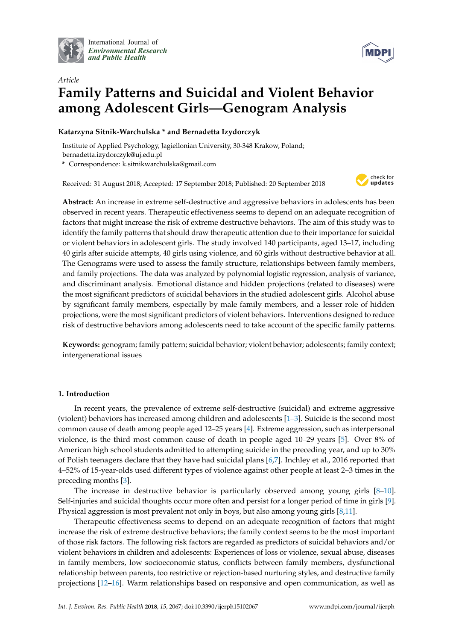

International Journal of *[Environmental Research](http://www.mdpi.com/journal/ijerph) and Public Health*



# *Article* **Family Patterns and Suicidal and Violent Behavior among Adolescent Girls—Genogram Analysis**

# **Katarzyna Sitnik-Warchulska \* and Bernadetta Izydorczyk**

Institute of Applied Psychology, Jagiellonian University, 30-348 Krakow, Poland; bernadetta.izydorczyk@uj.edu.pl

**\*** Correspondence: k.sitnikwarchulska@gmail.com

Received: 31 August 2018; Accepted: 17 September 2018; Published: 20 September 2018



**Abstract:** An increase in extreme self-destructive and aggressive behaviors in adolescents has been observed in recent years. Therapeutic effectiveness seems to depend on an adequate recognition of factors that might increase the risk of extreme destructive behaviors. The aim of this study was to identify the family patterns that should draw therapeutic attention due to their importance for suicidal or violent behaviors in adolescent girls. The study involved 140 participants, aged 13–17, including 40 girls after suicide attempts, 40 girls using violence, and 60 girls without destructive behavior at all. The Genograms were used to assess the family structure, relationships between family members, and family projections. The data was analyzed by polynomial logistic regression, analysis of variance, and discriminant analysis. Emotional distance and hidden projections (related to diseases) were the most significant predictors of suicidal behaviors in the studied adolescent girls. Alcohol abuse by significant family members, especially by male family members, and a lesser role of hidden projections, were the most significant predictors of violent behaviors. Interventions designed to reduce risk of destructive behaviors among adolescents need to take account of the specific family patterns.

**Keywords:** genogram; family pattern; suicidal behavior; violent behavior; adolescents; family context; intergenerational issues

# **1. Introduction**

In recent years, the prevalence of extreme self-destructive (suicidal) and extreme aggressive (violent) behaviors has increased among children and adolescents [\[1–](#page-13-0)[3\]](#page-13-1). Suicide is the second most common cause of death among people aged 12–25 years [\[4\]](#page-13-2). Extreme aggression, such as interpersonal violence, is the third most common cause of death in people aged 10–29 years [\[5\]](#page-13-3). Over 8% of American high school students admitted to attempting suicide in the preceding year, and up to 30% of Polish teenagers declare that they have had suicidal plans [\[6,](#page-13-4)[7\]](#page-13-5). Inchley et al., 2016 reported that 4–52% of 15-year-olds used different types of violence against other people at least 2–3 times in the preceding months [\[3\]](#page-13-1).

The increase in destructive behavior is particularly observed among young girls [\[8–](#page-13-6)[10\]](#page-13-7). Self-injuries and suicidal thoughts occur more often and persist for a longer period of time in girls [\[9\]](#page-13-8). Physical aggression is most prevalent not only in boys, but also among young girls [\[8,](#page-13-6)[11\]](#page-13-9).

Therapeutic effectiveness seems to depend on an adequate recognition of factors that might increase the risk of extreme destructive behaviors; the family context seems to be the most important of those risk factors. The following risk factors are regarded as predictors of suicidal behaviors and/or violent behaviors in children and adolescents: Experiences of loss or violence, sexual abuse, diseases in family members, low socioeconomic status, conflicts between family members, dysfunctional relationship between parents, too restrictive or rejection-based nurturing styles, and destructive family projections [\[12–](#page-13-10)[16\]](#page-13-11). Warm relationships based on responsive and open communication, as well as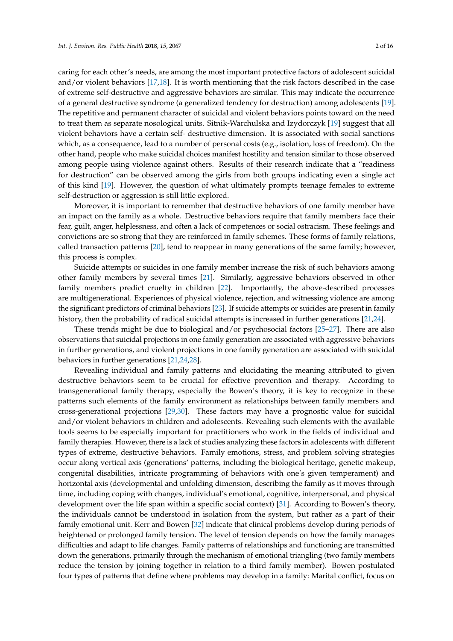caring for each other's needs, are among the most important protective factors of adolescent suicidal and/or violent behaviors [\[17](#page-14-0)[,18\]](#page-14-1). It is worth mentioning that the risk factors described in the case of extreme self-destructive and aggressive behaviors are similar. This may indicate the occurrence of a general destructive syndrome (a generalized tendency for destruction) among adolescents [\[19\]](#page-14-2). The repetitive and permanent character of suicidal and violent behaviors points toward on the need to treat them as separate nosological units. Sitnik-Warchulska and Izydorczyk [\[19\]](#page-14-2) suggest that all violent behaviors have a certain self- destructive dimension. It is associated with social sanctions which, as a consequence, lead to a number of personal costs (e.g., isolation, loss of freedom). On the other hand, people who make suicidal choices manifest hostility and tension similar to those observed among people using violence against others. Results of their research indicate that a "readiness for destruction" can be observed among the girls from both groups indicating even a single act of this kind [\[19\]](#page-14-2). However, the question of what ultimately prompts teenage females to extreme self-destruction or aggression is still little explored.

Moreover, it is important to remember that destructive behaviors of one family member have an impact on the family as a whole. Destructive behaviors require that family members face their fear, guilt, anger, helplessness, and often a lack of competences or social ostracism. These feelings and convictions are so strong that they are reinforced in family schemes. These forms of family relations, called transaction patterns [\[20\]](#page-14-3), tend to reappear in many generations of the same family; however, this process is complex.

Suicide attempts or suicides in one family member increase the risk of such behaviors among other family members by several times [\[21\]](#page-14-4). Similarly, aggressive behaviors observed in other family members predict cruelty in children [\[22\]](#page-14-5). Importantly, the above-described processes are multigenerational. Experiences of physical violence, rejection, and witnessing violence are among the significant predictors of criminal behaviors [\[23\]](#page-14-6). If suicide attempts or suicides are present in family history, then the probability of radical suicidal attempts is increased in further generations [\[21,](#page-14-4)[24\]](#page-14-7).

These trends might be due to biological and/or psychosocial factors [\[25–](#page-14-8)[27\]](#page-14-9). There are also observations that suicidal projections in one family generation are associated with aggressive behaviors in further generations, and violent projections in one family generation are associated with suicidal behaviors in further generations [\[21,](#page-14-4)[24,](#page-14-7)[28\]](#page-14-10).

Revealing individual and family patterns and elucidating the meaning attributed to given destructive behaviors seem to be crucial for effective prevention and therapy. According to transgenerational family therapy, especially the Bowen's theory, it is key to recognize in these patterns such elements of the family environment as relationships between family members and cross-generational projections [\[29](#page-14-11)[,30\]](#page-14-12). These factors may have a prognostic value for suicidal and/or violent behaviors in children and adolescents. Revealing such elements with the available tools seems to be especially important for practitioners who work in the fields of individual and family therapies. However, there is a lack of studies analyzing these factors in adolescents with different types of extreme, destructive behaviors. Family emotions, stress, and problem solving strategies occur along vertical axis (generations' patterns, including the biological heritage, genetic makeup, congenital disabilities, intricate programming of behaviors with one's given temperament) and horizontal axis (developmental and unfolding dimension, describing the family as it moves through time, including coping with changes, individual's emotional, cognitive, interpersonal, and physical development over the life span within a specific social context) [\[31\]](#page-14-13). According to Bowen's theory, the individuals cannot be understood in isolation from the system, but rather as a part of their family emotional unit. Kerr and Bowen [\[32\]](#page-14-14) indicate that clinical problems develop during periods of heightened or prolonged family tension. The level of tension depends on how the family manages difficulties and adapt to life changes. Family patterns of relationships and functioning are transmitted down the generations, primarily through the mechanism of emotional triangling (two family members reduce the tension by joining together in relation to a third family member). Bowen postulated four types of patterns that define where problems may develop in a family: Marital conflict, focus on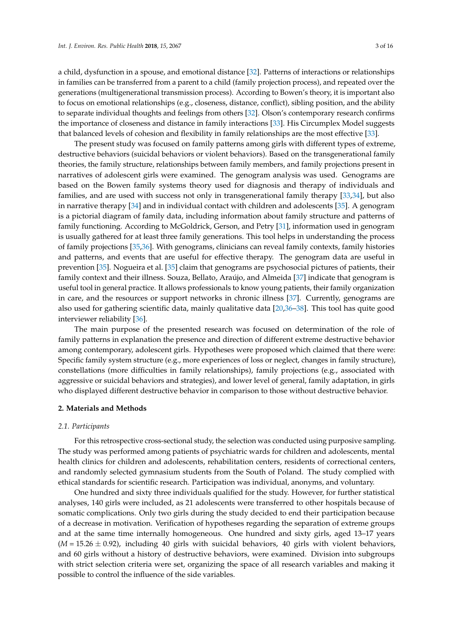that balanced levels of cohesion and flexibility in family relationships are the most effective [\[33\]](#page-14-15).

The present study was focused on family patterns among girls with different types of extreme, destructive behaviors (suicidal behaviors or violent behaviors). Based on the transgenerational family theories, the family structure, relationships between family members, and family projections present in narratives of adolescent girls were examined. The genogram analysis was used. Genograms are based on the Bowen family systems theory used for diagnosis and therapy of individuals and families, and are used with success not only in transgenerational family therapy [\[33,](#page-14-15)[34\]](#page-14-16), but also in narrative therapy [\[34\]](#page-14-16) and in individual contact with children and adolescents [\[35\]](#page-14-17). A genogram is a pictorial diagram of family data, including information about family structure and patterns of family functioning. According to McGoldrick, Gerson, and Petry [\[31\]](#page-14-13), information used in genogram is usually gathered for at least three family generations. This tool helps in understanding the process of family projections [\[35,](#page-14-17)[36\]](#page-14-18). With genograms, clinicians can reveal family contexts, family histories and patterns, and events that are useful for effective therapy. The genogram data are useful in prevention [\[35\]](#page-14-17). Nogueira et al. [\[35\]](#page-14-17) claim that genograms are psychosocial pictures of patients, their family context and their illness. Souza, Bellato, Araújo, and Almeida [\[37\]](#page-14-19) indicate that genogram is useful tool in general practice. It allows professionals to know young patients, their family organization in care, and the resources or support networks in chronic illness [\[37\]](#page-14-19). Currently, genograms are also used for gathering scientific data, mainly qualitative data [\[20,](#page-14-3)[36](#page-14-18)[–38\]](#page-14-20). This tool has quite good interviewer reliability [\[36\]](#page-14-18).

The main purpose of the presented research was focused on determination of the role of family patterns in explanation the presence and direction of different extreme destructive behavior among contemporary, adolescent girls. Hypotheses were proposed which claimed that there were: Specific family system structure (e.g., more experiences of loss or neglect, changes in family structure), constellations (more difficulties in family relationships), family projections (e.g., associated with aggressive or suicidal behaviors and strategies), and lower level of general, family adaptation, in girls who displayed different destructive behavior in comparison to those without destructive behavior.

#### **2. Materials and Methods**

#### *2.1. Participants*

For this retrospective cross-sectional study, the selection was conducted using purposive sampling. The study was performed among patients of psychiatric wards for children and adolescents, mental health clinics for children and adolescents, rehabilitation centers, residents of correctional centers, and randomly selected gymnasium students from the South of Poland. The study complied with ethical standards for scientific research. Participation was individual, anonyms, and voluntary.

One hundred and sixty three individuals qualified for the study. However, for further statistical analyses, 140 girls were included, as 21 adolescents were transferred to other hospitals because of somatic complications. Only two girls during the study decided to end their participation because of a decrease in motivation. Verification of hypotheses regarding the separation of extreme groups and at the same time internally homogeneous. One hundred and sixty girls, aged 13–17 years  $(M = 15.26 \pm 0.92)$ , including 40 girls with suicidal behaviors, 40 girls with violent behaviors, and 60 girls without a history of destructive behaviors, were examined. Division into subgroups with strict selection criteria were set, organizing the space of all research variables and making it possible to control the influence of the side variables.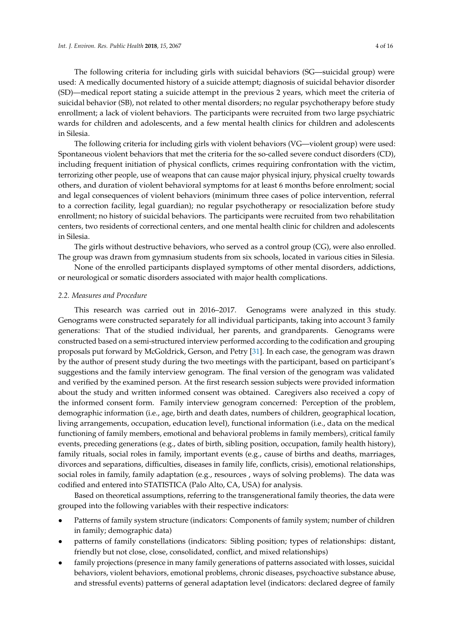The following criteria for including girls with suicidal behaviors (SG—suicidal group) were used: A medically documented history of a suicide attempt; diagnosis of suicidal behavior disorder (SD)—medical report stating a suicide attempt in the previous 2 years, which meet the criteria of suicidal behavior (SB), not related to other mental disorders; no regular psychotherapy before study enrollment; a lack of violent behaviors. The participants were recruited from two large psychiatric wards for children and adolescents, and a few mental health clinics for children and adolescents in Silesia.

The following criteria for including girls with violent behaviors (VG—violent group) were used: Spontaneous violent behaviors that met the criteria for the so-called severe conduct disorders (CD), including frequent initiation of physical conflicts, crimes requiring confrontation with the victim, terrorizing other people, use of weapons that can cause major physical injury, physical cruelty towards others, and duration of violent behavioral symptoms for at least 6 months before enrolment; social and legal consequences of violent behaviors (minimum three cases of police intervention, referral to a correction facility, legal guardian); no regular psychotherapy or resocialization before study enrollment; no history of suicidal behaviors. The participants were recruited from two rehabilitation centers, two residents of correctional centers, and one mental health clinic for children and adolescents in Silesia.

The girls without destructive behaviors, who served as a control group (CG), were also enrolled. The group was drawn from gymnasium students from six schools, located in various cities in Silesia.

None of the enrolled participants displayed symptoms of other mental disorders, addictions, or neurological or somatic disorders associated with major health complications.

## *2.2. Measures and Procedure*

This research was carried out in 2016–2017. Genograms were analyzed in this study. Genograms were constructed separately for all individual participants, taking into account 3 family generations: That of the studied individual, her parents, and grandparents. Genograms were constructed based on a semi-structured interview performed according to the codification and grouping proposals put forward by McGoldrick, Gerson, and Petry [\[31\]](#page-14-13). In each case, the genogram was drawn by the author of present study during the two meetings with the participant, based on participant's suggestions and the family interview genogram. The final version of the genogram was validated and verified by the examined person. At the first research session subjects were provided information about the study and written informed consent was obtained. Caregivers also received a copy of the informed consent form. Family interview genogram concerned: Perception of the problem, demographic information (i.e., age, birth and death dates, numbers of children, geographical location, living arrangements, occupation, education level), functional information (i.e., data on the medical functioning of family members, emotional and behavioral problems in family members), critical family events, preceding generations (e.g., dates of birth, sibling position, occupation, family health history), family rituals, social roles in family, important events (e.g., cause of births and deaths, marriages, divorces and separations, difficulties, diseases in family life, conflicts, crisis), emotional relationships, social roles in family, family adaptation (e.g., resources , ways of solving problems). The data was codified and entered into STATISTICA (Palo Alto, CA, USA) for analysis.

Based on theoretical assumptions, referring to the transgenerational family theories, the data were grouped into the following variables with their respective indicators:

- Patterns of family system structure (indicators: Components of family system; number of children in family; demographic data)
- patterns of family constellations (indicators: Sibling position; types of relationships: distant, friendly but not close, close, consolidated, conflict, and mixed relationships)
- family projections (presence in many family generations of patterns associated with losses, suicidal behaviors, violent behaviors, emotional problems, chronic diseases, psychoactive substance abuse, and stressful events) patterns of general adaptation level (indicators: declared degree of family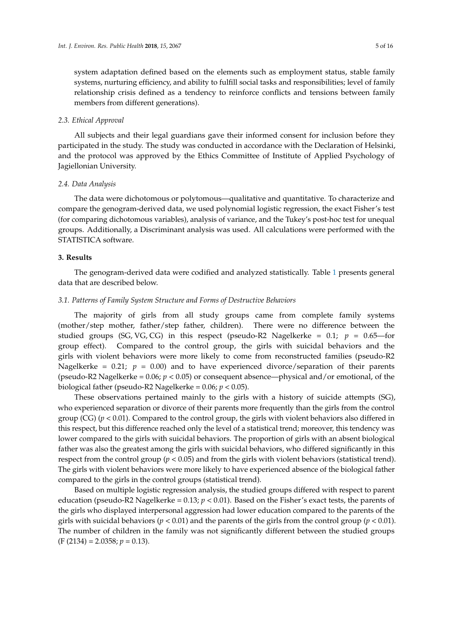system adaptation defined based on the elements such as employment status, stable family systems, nurturing efficiency, and ability to fulfill social tasks and responsibilities; level of family relationship crisis defined as a tendency to reinforce conflicts and tensions between family members from different generations).

#### *2.3. Ethical Approval*

All subjects and their legal guardians gave their informed consent for inclusion before they participated in the study. The study was conducted in accordance with the Declaration of Helsinki, and the protocol was approved by the Ethics Committee of Institute of Applied Psychology of Jagiellonian University.

## *2.4. Data Analysis*

The data were dichotomous or polytomous—qualitative and quantitative. To characterize and compare the genogram-derived data, we used polynomial logistic regression, the exact Fisher's test (for comparing dichotomous variables), analysis of variance, and the Tukey's post-hoc test for unequal groups. Additionally, a Discriminant analysis was used. All calculations were performed with the STATISTICA software.

#### **3. Results**

The genogram-derived data were codified and analyzed statistically. Table [1](#page-6-0) presents general data that are described below.

#### *3.1. Patterns of Family System Structure and Forms of Destructive Behaviors*

The majority of girls from all study groups came from complete family systems (mother/step mother, father/step father, children). There were no difference between the studied groups (SG, VG, CG) in this respect (pseudo-R2 Nagelkerke =  $0.1$ ;  $p = 0.65$ —for group effect). Compared to the control group, the girls with suicidal behaviors and the girls with violent behaviors were more likely to come from reconstructed families (pseudo-R2 Nagelkerke =  $0.21$ ;  $p = 0.00$ ) and to have experienced divorce/separation of their parents (pseudo-R2 Nagelkerke = 0.06; *p* < 0.05) or consequent absence—physical and/or emotional, of the biological father (pseudo-R2 Nagelkerke = 0.06; *p* < 0.05).

These observations pertained mainly to the girls with a history of suicide attempts (SG), who experienced separation or divorce of their parents more frequently than the girls from the control group (CG) (*p* < 0.01). Compared to the control group, the girls with violent behaviors also differed in this respect, but this difference reached only the level of a statistical trend; moreover, this tendency was lower compared to the girls with suicidal behaviors. The proportion of girls with an absent biological father was also the greatest among the girls with suicidal behaviors, who differed significantly in this respect from the control group ( $p < 0.05$ ) and from the girls with violent behaviors (statistical trend). The girls with violent behaviors were more likely to have experienced absence of the biological father compared to the girls in the control groups (statistical trend).

Based on multiple logistic regression analysis, the studied groups differed with respect to parent education (pseudo-R2 Nagelkerke = 0.13; *p* < 0.01). Based on the Fisher's exact tests, the parents of the girls who displayed interpersonal aggression had lower education compared to the parents of the girls with suicidal behaviors ( $p < 0.01$ ) and the parents of the girls from the control group ( $p < 0.01$ ). The number of children in the family was not significantly different between the studied groups  $(F (2134) = 2.0358; p = 0.13).$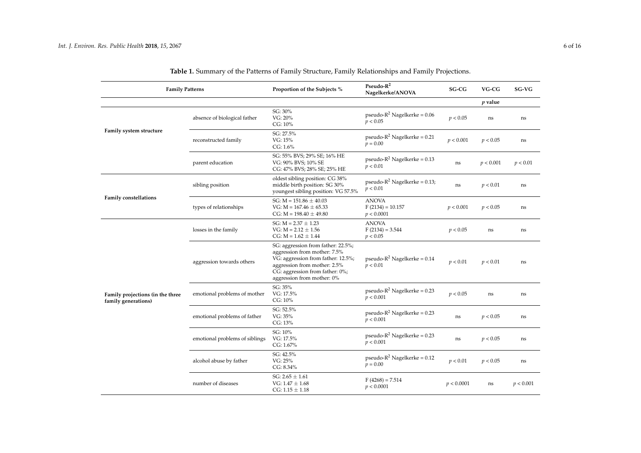| <b>Family Patterns</b>                                  |                                | Proportion of the Subjects %                                                                                                                                                                              | Pseudo-R <sup>2</sup><br>Nagelkerke/ANOVA        | SG-CG      | VG-CG     | <b>SG-VG</b> |
|---------------------------------------------------------|--------------------------------|-----------------------------------------------------------------------------------------------------------------------------------------------------------------------------------------------------------|--------------------------------------------------|------------|-----------|--------------|
|                                                         |                                |                                                                                                                                                                                                           |                                                  |            | $p$ value |              |
|                                                         | absence of biological father   | SG: 30%<br>VG: 20%<br>CG: 10%                                                                                                                                                                             | pseudo- $R^2$ Nagelkerke = 0.06<br>p < 0.05      | p < 0.05   | ns        | ns           |
| Family system structure                                 | reconstructed family           | SG: 27.5%<br>VG: 15%<br>CG: 1.6%                                                                                                                                                                          | pseudo- $R^2$ Nagelkerke = 0.21<br>$p = 0.00$    | p < 0.001  | p < 0.05  | ns           |
|                                                         | parent education               | SG: 55% BVS; 29% SE; 16% HE<br>VG: 90% BVS; 10% SE<br>CG: 47% BVS; 28% SE; 25% HE                                                                                                                         | pseudo- $R^2$ Nagelkerke = 0.13<br>p < 0.01      | ns         | p < 0.001 | p < 0.01     |
|                                                         | sibling position               | oldest sibling position: CG 38%<br>middle birth position: SG 30%<br>youngest sibling position: VG 57.5%                                                                                                   | pseudo- $R^2$ Nagelkerke = 0.13;<br>p < 0.01     |            | p < 0.01  | ns           |
| Family constellations                                   | types of relationships         | SG: $M = 151.86 \pm 40.03$<br>$VG: M = 167.46 \pm 65.33$<br>$CG: M = 198.40 \pm 49.80$                                                                                                                    | <b>ANOVA</b><br>$F(2134) = 10.157$<br>p < 0.0001 | p < 0.001  | p < 0.05  | ns           |
| Family projections (in the three<br>family generations) | losses in the family           | SG: $M = 2.37 \pm 1.23$<br>$VG: M = 2.12 \pm 1.56$<br>$CG: M = 1.62 \pm 1.44$                                                                                                                             | <b>ANOVA</b><br>$F(2134) = 3.544$<br>p < 0.05    | p < 0.05   | ns        | ns           |
|                                                         | aggression towards others      | SG: aggression from father: 22.5%;<br>aggression from mother: 7.5%<br>VG: aggression from father: 12.5%;<br>aggression from mother: 2.5%<br>CG: aggression from father: 0%;<br>aggression from mother: 0% | pseudo- $R^2$ Nagelkerke = 0.14<br>p < 0.01      | p < 0.01   | p < 0.01  | ns           |
|                                                         | emotional problems of mother   | SG: 35%<br>VG: 17.5%<br>$CG: 10\%$                                                                                                                                                                        | pseudo- $R^2$ Nagelkerke = 0.23<br>p < 0.001     | p < 0.05   | ns        | ns           |
|                                                         | emotional problems of father   | SG: 52.5%<br>VG: 35%<br>CG: 13%                                                                                                                                                                           | pseudo- $R^2$ Nagelkerke = 0.23<br>p < 0.001     | ns         | p < 0.05  | ns           |
|                                                         | emotional problems of siblings | SG: 10%<br>VG: 17.5%<br>CG: 1.67%                                                                                                                                                                         | pseudo- $R^2$ Nagelkerke = 0.23<br>p < 0.001     | ns         | p < 0.05  | ns           |
|                                                         | alcohol abuse by father        | SG: 42.5%<br>VG: 25%<br>CG: 8.34%                                                                                                                                                                         | pseudo- $R^2$ Nagelkerke = 0.12<br>$p = 0.00$    | p < 0.01   | p < 0.05  | ns           |
|                                                         | number of diseases             | SG: $2.65 \pm 1.61$<br>$VG: 1.47 \pm 1.68$<br>$CG: 1.15 \pm 1.18$                                                                                                                                         | $F(4268) = 7.514$<br>p < 0.0001                  | p < 0.0001 | ns        | p < 0.001    |

| Table 1. Summary of the Patterns of Family Structure, Family Relationships and Family Projections. |
|----------------------------------------------------------------------------------------------------|
|----------------------------------------------------------------------------------------------------|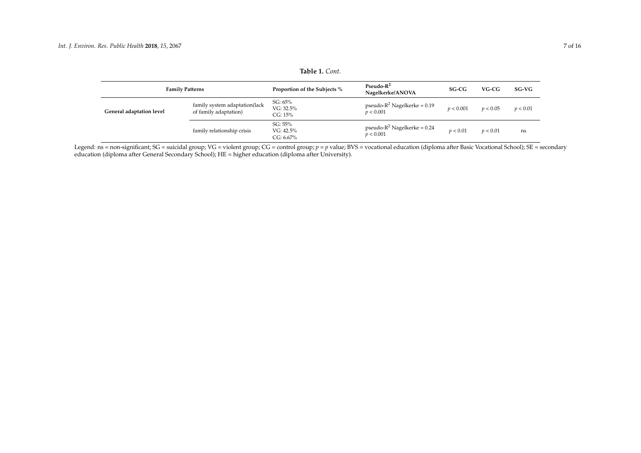| <b>Family Patterns</b>   |                                                        | Proportion of the Subjects %               | Pseudo- $R^2$<br>Nagelkerke/ANOVA            | <b>SG-CG</b> | $VG-CG$  | $SG-VG$  |
|--------------------------|--------------------------------------------------------|--------------------------------------------|----------------------------------------------|--------------|----------|----------|
| General adaptation level | family system adaptation(lack<br>of family adaptation) | SG: 65%<br>$VG: 32.5\%$<br>$CG:15\%$       | pseudo- $R^2$ Nagelkerke = 0.19<br>p < 0.001 | p < 0.001    | v < 0.05 | p < 0.01 |
|                          | family relationship crisis                             | $SG: 55\%$<br>$VG: 42.5\%$<br>$CG: 6.67\%$ | pseudo- $R^2$ Nagelkerke = 0.24<br>p < 0.001 | v < 0.01     | v < 0.01 | ns       |

**Table 1.** *Cont.*

<span id="page-6-0"></span>Legend: ns = non-significant; SG = suicidal group; VG = violent group; CG = control group; *p* = *p* value; BVS = vocational education (diploma after Basic Vocational School); SE = secondary education (diploma after General Secondary School); HE = higher education (diploma after University).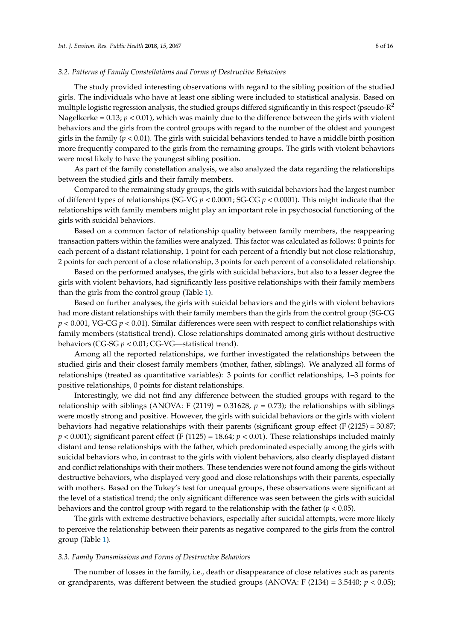#### *3.2. Patterns of Family Constellations and Forms of Destructive Behaviors*

The study provided interesting observations with regard to the sibling position of the studied girls. The individuals who have at least one sibling were included to statistical analysis. Based on multiple logistic regression analysis, the studied groups differed significantly in this respect (pseudo- $R^2$ ) Nagelkerke = 0.13; *p* < 0.01), which was mainly due to the difference between the girls with violent behaviors and the girls from the control groups with regard to the number of the oldest and youngest girls in the family ( $p < 0.01$ ). The girls with suicidal behaviors tended to have a middle birth position more frequently compared to the girls from the remaining groups. The girls with violent behaviors were most likely to have the youngest sibling position.

As part of the family constellation analysis, we also analyzed the data regarding the relationships between the studied girls and their family members.

Compared to the remaining study groups, the girls with suicidal behaviors had the largest number of different types of relationships (SG-VG *p* < 0.0001; SG-CG *p* < 0.0001). This might indicate that the relationships with family members might play an important role in psychosocial functioning of the girls with suicidal behaviors.

Based on a common factor of relationship quality between family members, the reappearing transaction patters within the families were analyzed. This factor was calculated as follows: 0 points for each percent of a distant relationship, 1 point for each percent of a friendly but not close relationship, 2 points for each percent of a close relationship, 3 points for each percent of a consolidated relationship.

Based on the performed analyses, the girls with suicidal behaviors, but also to a lesser degree the girls with violent behaviors, had significantly less positive relationships with their family members than the girls from the control group (Table [1\)](#page-6-0).

Based on further analyses, the girls with suicidal behaviors and the girls with violent behaviors had more distant relationships with their family members than the girls from the control group (SG-CG  $p < 0.001$ , VG-CG  $p < 0.01$ ). Similar differences were seen with respect to conflict relationships with family members (statistical trend). Close relationships dominated among girls without destructive behaviors (CG-SG *p* < 0.01; CG-VG—statistical trend).

Among all the reported relationships, we further investigated the relationships between the studied girls and their closest family members (mother, father, siblings). We analyzed all forms of relationships (treated as quantitative variables): 3 points for conflict relationships, 1–3 points for positive relationships, 0 points for distant relationships.

Interestingly, we did not find any difference between the studied groups with regard to the relationship with siblings (ANOVA: F  $(2119) = 0.31628$ ,  $p = 0.73$ ); the relationships with siblings were mostly strong and positive. However, the girls with suicidal behaviors or the girls with violent behaviors had negative relationships with their parents (significant group effect (F  $(2125) = 30.87$ ;  $p < 0.001$ ); significant parent effect (F (1125) = 18.64;  $p < 0.01$ ). These relationships included mainly distant and tense relationships with the father, which predominated especially among the girls with suicidal behaviors who, in contrast to the girls with violent behaviors, also clearly displayed distant and conflict relationships with their mothers. These tendencies were not found among the girls without destructive behaviors, who displayed very good and close relationships with their parents, especially with mothers. Based on the Tukey's test for unequal groups, these observations were significant at the level of a statistical trend; the only significant difference was seen between the girls with suicidal behaviors and the control group with regard to the relationship with the father (*p* < 0.05).

The girls with extreme destructive behaviors, especially after suicidal attempts, were more likely to perceive the relationship between their parents as negative compared to the girls from the control group (Table [1\)](#page-6-0).

#### *3.3. Family Transmissions and Forms of Destructive Behaviors*

The number of losses in the family, i.e., death or disappearance of close relatives such as parents or grandparents, was different between the studied groups (ANOVA: F (2134) = 3.5440; *p* < 0.05);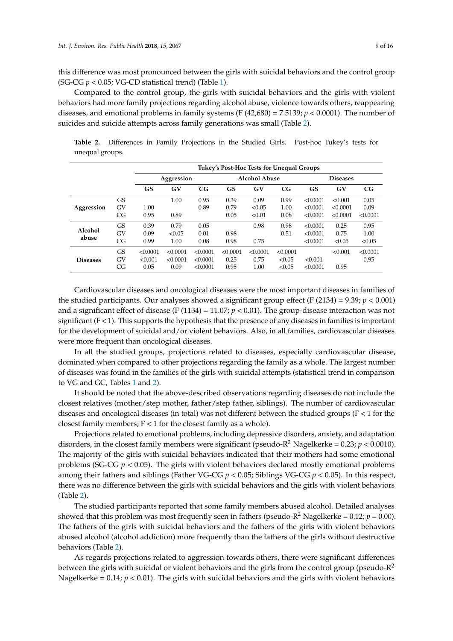this difference was most pronounced between the girls with suicidal behaviors and the control group (SG-CG  $p < 0.05$ ; VG-CD statistical trend) (Table [1\)](#page-6-0).

Compared to the control group, the girls with suicidal behaviors and the girls with violent behaviors had more family projections regarding alcohol abuse, violence towards others, reappearing diseases, and emotional problems in family systems (F (42,680) = 7.5139; *p* < 0.0001). The number of suicides and suicide attempts across family generations was small (Table [2\)](#page-8-0).

<span id="page-8-0"></span>**Table 2.** Differences in Family Projections in the Studied Girls. Post-hoc Tukey's tests for unequal groups.

|                 |           | Tukey's Post-Hoc Tests for Unequal Groups |                        |          |                      |          |          |                 |                        |          |
|-----------------|-----------|-------------------------------------------|------------------------|----------|----------------------|----------|----------|-----------------|------------------------|----------|
|                 |           | Aggression                                |                        |          | <b>Alcohol Abuse</b> |          |          | <b>Diseases</b> |                        |          |
|                 |           | GS                                        | $\mathbf{G}\mathbf{V}$ | CG       | <b>GS</b>            | GV       | CG       | GS              | $\mathbf{G}\mathbf{V}$ | CG       |
|                 | <b>GS</b> |                                           | 1.00                   | 0.95     | 0.39                 | 0.09     | 0.99     | < 0.0001        | < 0.001                | 0.05     |
| Aggression      | GV        | 1.00                                      |                        | 0.89     | 0.79                 | < 0.05   | 1.00     | < 0.0001        | < 0.0001               | 0.09     |
|                 | CG        | 0.95                                      | 0.89                   |          | 0.05                 | < 0.01   | 0.08     | < 0.0001        | < 0.0001               | < 0.0001 |
|                 | <b>GS</b> | 0.39                                      | 0.79                   | 0.05     |                      | 0.98     | 0.98     | < 0.0001        | 0.25                   | 0.95     |
| Alcohol         | GV        | 0.09                                      | < 0.05                 | 0.01     | 0.98                 |          | 0.51     | < 0.0001        | 0.75                   | 1.00     |
| abuse           | CG        | 0.99                                      | 1.00                   | 0.08     | 0.98                 | 0.75     |          | < 0.0001        | < 0.05                 | < 0.05   |
|                 | <b>GS</b> | < 0.0001                                  | < 0.0001               | < 0.0001 | < 0.0001             | < 0.0001 | < 0.0001 |                 | < 0.001                | < 0.0001 |
| <b>Diseases</b> | GV        | < 0.001                                   | < 0.0001               | < 0.0001 | 0.25                 | 0.75     | < 0.05   | < 0.001         |                        | 0.95     |
|                 | CG        | 0.05                                      | 0.09                   | < 0.0001 | 0.95                 | 1.00     | < 0.05   | < 0.0001        | 0.95                   |          |

Cardiovascular diseases and oncological diseases were the most important diseases in families of the studied participants. Our analyses showed a significant group effect (F  $(2134) = 9.39; p < 0.001$ ) and a significant effect of disease (F (1134) = 11.07; *p* < 0.01). The group-disease interaction was not significant  $(F < 1)$ . This supports the hypothesis that the presence of any diseases in families is important for the development of suicidal and/or violent behaviors. Also, in all families, cardiovascular diseases were more frequent than oncological diseases.

In all the studied groups, projections related to diseases, especially cardiovascular disease, dominated when compared to other projections regarding the family as a whole. The largest number of diseases was found in the families of the girls with suicidal attempts (statistical trend in comparison to VG and GC, Tables [1](#page-6-0) and [2\)](#page-8-0).

It should be noted that the above-described observations regarding diseases do not include the closest relatives (mother/step mother, father/step father, siblings). The number of cardiovascular diseases and oncological diseases (in total) was not different between the studied groups ( $F < 1$  for the closest family members;  $F < 1$  for the closest family as a whole).

Projections related to emotional problems, including depressive disorders, anxiety, and adaptation disorders, in the closest family members were significant (pseudo- $R^2$  Nagelkerke = 0.23;  $p < 0.0010$ ). The majority of the girls with suicidal behaviors indicated that their mothers had some emotional problems (SG-CG *p* < 0.05). The girls with violent behaviors declared mostly emotional problems among their fathers and siblings (Father VG-CG *p* < 0.05; Siblings VG-CG *p* < 0.05). In this respect, there was no difference between the girls with suicidal behaviors and the girls with violent behaviors (Table [2\)](#page-8-0).

The studied participants reported that some family members abused alcohol. Detailed analyses showed that this problem was most frequently seen in fathers (pseudo- $R^2$  Nagelkerke = 0.12;  $p = 0.00$ ). The fathers of the girls with suicidal behaviors and the fathers of the girls with violent behaviors abused alcohol (alcohol addiction) more frequently than the fathers of the girls without destructive behaviors (Table [2\)](#page-8-0).

As regards projections related to aggression towards others, there were significant differences between the girls with suicidal or violent behaviors and the girls from the control group (pseudo- $R^2$ ) Nagelkerke = 0.14; *p* < 0.01). The girls with suicidal behaviors and the girls with violent behaviors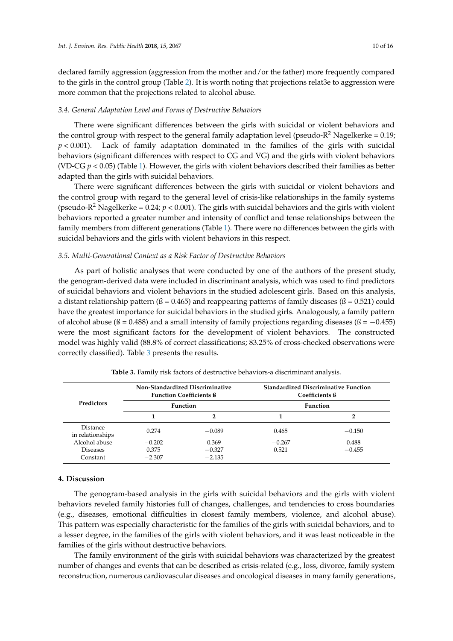declared family aggression (aggression from the mother and/or the father) more frequently compared to the girls in the control group (Table [2\)](#page-8-0). It is worth noting that projections relat3e to aggression were more common that the projections related to alcohol abuse.

#### *3.4. General Adaptation Level and Forms of Destructive Behaviors*

There were significant differences between the girls with suicidal or violent behaviors and the control group with respect to the general family adaptation level (pseudo- $R^2$  Nagelkerke = 0.19;  $p < 0.001$ ). Lack of family adaptation dominated in the families of the girls with suicidal behaviors (significant differences with respect to CG and VG) and the girls with violent behaviors (VD-CG  $p < 0.05$ ) (Table [1\)](#page-6-0). However, the girls with violent behaviors described their families as better adapted than the girls with suicidal behaviors.

There were significant differences between the girls with suicidal or violent behaviors and the control group with regard to the general level of crisis-like relationships in the family systems (pseudo- $R^2$  Nagelkerke = 0.24;  $p < 0.001$ ). The girls with suicidal behaviors and the girls with violent behaviors reported a greater number and intensity of conflict and tense relationships between the family members from different generations (Table [1\)](#page-6-0). There were no differences between the girls with suicidal behaviors and the girls with violent behaviors in this respect.

### *3.5. Multi-Generational Context as a Risk Factor of Destructive Behaviors*

As part of holistic analyses that were conducted by one of the authors of the present study, the genogram-derived data were included in discriminant analysis, which was used to find predictors of suicidal behaviors and violent behaviors in the studied adolescent girls. Based on this analysis, a distant relationship pattern ( $\beta$  = 0.465) and reappearing patterns of family diseases ( $\beta$  = 0.521) could have the greatest importance for suicidal behaviors in the studied girls. Analogously, a family pattern of alcohol abuse ( $\beta = 0.488$ ) and a small intensity of family projections regarding diseases ( $\beta = -0.455$ ) were the most significant factors for the development of violent behaviors. The constructed model was highly valid (88.8% of correct classifications; 83.25% of cross-checked observations were correctly classified). Table [3](#page-9-0) presents the results.

<span id="page-9-0"></span>

| Predictors                   |          | Non-Standardized Discriminative<br><b>Function Coefficients ß</b> | <b>Standardized Discriminative Function</b><br>Coefficients ß |          |  |  |
|------------------------------|----------|-------------------------------------------------------------------|---------------------------------------------------------------|----------|--|--|
|                              |          | <b>Function</b>                                                   | <b>Function</b>                                               |          |  |  |
|                              |          |                                                                   |                                                               |          |  |  |
| Distance<br>in relationships | 0.274    | $-0.089$                                                          | 0.465                                                         | $-0.150$ |  |  |
| Alcohol abuse                | $-0.202$ | 0.369                                                             | $-0.267$                                                      | 0.488    |  |  |
| <b>Diseases</b>              | 0.375    | $-0.327$                                                          | 0.521                                                         | $-0.455$ |  |  |
| Constant                     | $-2.307$ | $-2.135$                                                          |                                                               |          |  |  |

**Table 3.** Family risk factors of destructive behaviors-a discriminant analysis.

## **4. Discussion**

The genogram-based analysis in the girls with suicidal behaviors and the girls with violent behaviors reveled family histories full of changes, challenges, and tendencies to cross boundaries (e.g., diseases, emotional difficulties in closest family members, violence, and alcohol abuse). This pattern was especially characteristic for the families of the girls with suicidal behaviors, and to a lesser degree, in the families of the girls with violent behaviors, and it was least noticeable in the families of the girls without destructive behaviors.

The family environment of the girls with suicidal behaviors was characterized by the greatest number of changes and events that can be described as crisis-related (e.g., loss, divorce, family system reconstruction, numerous cardiovascular diseases and oncological diseases in many family generations,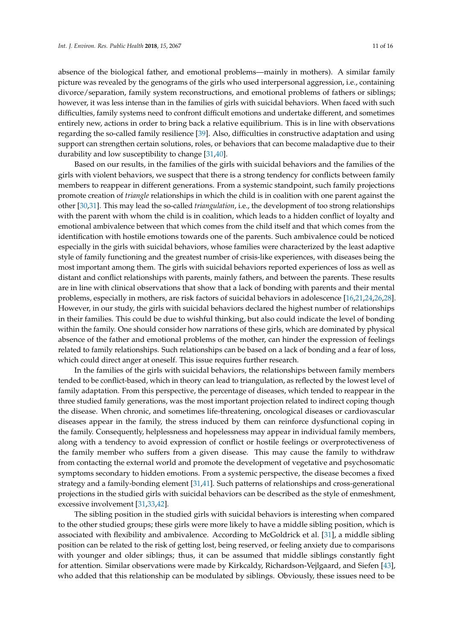absence of the biological father, and emotional problems—mainly in mothers). A similar family picture was revealed by the genograms of the girls who used interpersonal aggression, i.e., containing divorce/separation, family system reconstructions, and emotional problems of fathers or siblings; however, it was less intense than in the families of girls with suicidal behaviors. When faced with such difficulties, family systems need to confront difficult emotions and undertake different, and sometimes entirely new, actions in order to bring back a relative equilibrium. This is in line with observations regarding the so-called family resilience [\[39\]](#page-14-21). Also, difficulties in constructive adaptation and using support can strengthen certain solutions, roles, or behaviors that can become maladaptive due to their durability and low susceptibility to change [\[31,](#page-14-13)[40\]](#page-14-22).

Based on our results, in the families of the girls with suicidal behaviors and the families of the girls with violent behaviors, we suspect that there is a strong tendency for conflicts between family members to reappear in different generations. From a systemic standpoint, such family projections promote creation of *triangle* relationships in which the child is in coalition with one parent against the other [\[30](#page-14-12)[,31\]](#page-14-13). This may lead the so-called *triangulation*, i.e., the development of too strong relationships with the parent with whom the child is in coalition, which leads to a hidden conflict of loyalty and emotional ambivalence between that which comes from the child itself and that which comes from the identification with hostile emotions towards one of the parents. Such ambivalence could be noticed especially in the girls with suicidal behaviors, whose families were characterized by the least adaptive style of family functioning and the greatest number of crisis-like experiences, with diseases being the most important among them. The girls with suicidal behaviors reported experiences of loss as well as distant and conflict relationships with parents, mainly fathers, and between the parents. These results are in line with clinical observations that show that a lack of bonding with parents and their mental problems, especially in mothers, are risk factors of suicidal behaviors in adolescence [\[16,](#page-13-11)[21,](#page-14-4)[24,](#page-14-7)[26,](#page-14-23)[28\]](#page-14-10). However, in our study, the girls with suicidal behaviors declared the highest number of relationships in their families. This could be due to wishful thinking, but also could indicate the level of bonding within the family. One should consider how narrations of these girls, which are dominated by physical absence of the father and emotional problems of the mother, can hinder the expression of feelings related to family relationships. Such relationships can be based on a lack of bonding and a fear of loss, which could direct anger at oneself. This issue requires further research.

In the families of the girls with suicidal behaviors, the relationships between family members tended to be conflict-based, which in theory can lead to triangulation, as reflected by the lowest level of family adaptation. From this perspective, the percentage of diseases, which tended to reappear in the three studied family generations, was the most important projection related to indirect coping though the disease. When chronic, and sometimes life-threatening, oncological diseases or cardiovascular diseases appear in the family, the stress induced by them can reinforce dysfunctional coping in the family. Consequently, helplessness and hopelessness may appear in individual family members, along with a tendency to avoid expression of conflict or hostile feelings or overprotectiveness of the family member who suffers from a given disease. This may cause the family to withdraw from contacting the external world and promote the development of vegetative and psychosomatic symptoms secondary to hidden emotions. From a systemic perspective, the disease becomes a fixed strategy and a family-bonding element [\[31,](#page-14-13)[41\]](#page-15-0). Such patterns of relationships and cross-generational projections in the studied girls with suicidal behaviors can be described as the style of enmeshment, excessive involvement [\[31](#page-14-13)[,33,](#page-14-15)[42\]](#page-15-1).

The sibling position in the studied girls with suicidal behaviors is interesting when compared to the other studied groups; these girls were more likely to have a middle sibling position, which is associated with flexibility and ambivalence. According to McGoldrick et al. [\[31\]](#page-14-13), a middle sibling position can be related to the risk of getting lost, being reserved, or feeling anxiety due to comparisons with younger and older siblings; thus, it can be assumed that middle siblings constantly fight for attention. Similar observations were made by Kirkcaldy, Richardson-Vejlgaard, and Siefen [\[43\]](#page-15-2), who added that this relationship can be modulated by siblings. Obviously, these issues need to be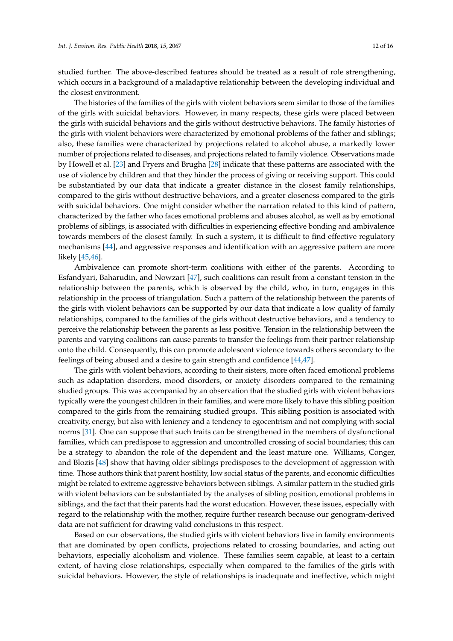studied further. The above-described features should be treated as a result of role strengthening, which occurs in a background of a maladaptive relationship between the developing individual and the closest environment.

The histories of the families of the girls with violent behaviors seem similar to those of the families of the girls with suicidal behaviors. However, in many respects, these girls were placed between the girls with suicidal behaviors and the girls without destructive behaviors. The family histories of the girls with violent behaviors were characterized by emotional problems of the father and siblings; also, these families were characterized by projections related to alcohol abuse, a markedly lower number of projections related to diseases, and projections related to family violence. Observations made by Howell et al. [\[23\]](#page-14-6) and Fryers and Brugha [\[28\]](#page-14-10) indicate that these patterns are associated with the use of violence by children and that they hinder the process of giving or receiving support. This could be substantiated by our data that indicate a greater distance in the closest family relationships, compared to the girls without destructive behaviors, and a greater closeness compared to the girls with suicidal behaviors. One might consider whether the narration related to this kind of pattern, characterized by the father who faces emotional problems and abuses alcohol, as well as by emotional problems of siblings, is associated with difficulties in experiencing effective bonding and ambivalence towards members of the closest family. In such a system, it is difficult to find effective regulatory mechanisms [\[44\]](#page-15-3), and aggressive responses and identification with an aggressive pattern are more likely [\[45](#page-15-4)[,46\]](#page-15-5).

Ambivalence can promote short-term coalitions with either of the parents. According to Esfandyari, Baharudin, and Nowzari [\[47\]](#page-15-6), such coalitions can result from a constant tension in the relationship between the parents, which is observed by the child, who, in turn, engages in this relationship in the process of triangulation. Such a pattern of the relationship between the parents of the girls with violent behaviors can be supported by our data that indicate a low quality of family relationships, compared to the families of the girls without destructive behaviors, and a tendency to perceive the relationship between the parents as less positive. Tension in the relationship between the parents and varying coalitions can cause parents to transfer the feelings from their partner relationship onto the child. Consequently, this can promote adolescent violence towards others secondary to the feelings of being abused and a desire to gain strength and confidence [\[44](#page-15-3)[,47\]](#page-15-6).

The girls with violent behaviors, according to their sisters, more often faced emotional problems such as adaptation disorders, mood disorders, or anxiety disorders compared to the remaining studied groups. This was accompanied by an observation that the studied girls with violent behaviors typically were the youngest children in their families, and were more likely to have this sibling position compared to the girls from the remaining studied groups. This sibling position is associated with creativity, energy, but also with leniency and a tendency to egocentrism and not complying with social norms [\[31\]](#page-14-13). One can suppose that such traits can be strengthened in the members of dysfunctional families, which can predispose to aggression and uncontrolled crossing of social boundaries; this can be a strategy to abandon the role of the dependent and the least mature one. Williams, Conger, and Blozis [\[48\]](#page-15-7) show that having older siblings predisposes to the development of aggression with time. Those authors think that parent hostility, low social status of the parents, and economic difficulties might be related to extreme aggressive behaviors between siblings. A similar pattern in the studied girls with violent behaviors can be substantiated by the analyses of sibling position, emotional problems in siblings, and the fact that their parents had the worst education. However, these issues, especially with regard to the relationship with the mother, require further research because our genogram-derived data are not sufficient for drawing valid conclusions in this respect.

Based on our observations, the studied girls with violent behaviors live in family environments that are dominated by open conflicts, projections related to crossing boundaries, and acting out behaviors, especially alcoholism and violence. These families seem capable, at least to a certain extent, of having close relationships, especially when compared to the families of the girls with suicidal behaviors. However, the style of relationships is inadequate and ineffective, which might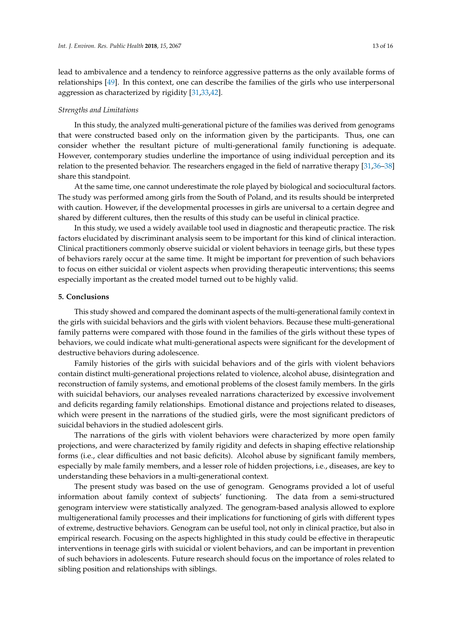lead to ambivalence and a tendency to reinforce aggressive patterns as the only available forms of relationships [\[49\]](#page-15-8). In this context, one can describe the families of the girls who use interpersonal aggression as characterized by rigidity [\[31](#page-14-13)[,33](#page-14-15)[,42\]](#page-15-1).

#### *Strengths and Limitations*

In this study, the analyzed multi-generational picture of the families was derived from genograms that were constructed based only on the information given by the participants. Thus, one can consider whether the resultant picture of multi-generational family functioning is adequate. However, contemporary studies underline the importance of using individual perception and its relation to the presented behavior. The researchers engaged in the field of narrative therapy [\[31,](#page-14-13)[36–](#page-14-18)[38\]](#page-14-20) share this standpoint.

At the same time, one cannot underestimate the role played by biological and sociocultural factors. The study was performed among girls from the South of Poland, and its results should be interpreted with caution. However, if the developmental processes in girls are universal to a certain degree and shared by different cultures, then the results of this study can be useful in clinical practice.

In this study, we used a widely available tool used in diagnostic and therapeutic practice. The risk factors elucidated by discriminant analysis seem to be important for this kind of clinical interaction. Clinical practitioners commonly observe suicidal or violent behaviors in teenage girls, but these types of behaviors rarely occur at the same time. It might be important for prevention of such behaviors to focus on either suicidal or violent aspects when providing therapeutic interventions; this seems especially important as the created model turned out to be highly valid.

# **5. Conclusions**

This study showed and compared the dominant aspects of the multi-generational family context in the girls with suicidal behaviors and the girls with violent behaviors. Because these multi-generational family patterns were compared with those found in the families of the girls without these types of behaviors, we could indicate what multi-generational aspects were significant for the development of destructive behaviors during adolescence.

Family histories of the girls with suicidal behaviors and of the girls with violent behaviors contain distinct multi-generational projections related to violence, alcohol abuse, disintegration and reconstruction of family systems, and emotional problems of the closest family members. In the girls with suicidal behaviors, our analyses revealed narrations characterized by excessive involvement and deficits regarding family relationships. Emotional distance and projections related to diseases, which were present in the narrations of the studied girls, were the most significant predictors of suicidal behaviors in the studied adolescent girls.

The narrations of the girls with violent behaviors were characterized by more open family projections, and were characterized by family rigidity and defects in shaping effective relationship forms (i.e., clear difficulties and not basic deficits). Alcohol abuse by significant family members, especially by male family members, and a lesser role of hidden projections, i.e., diseases, are key to understanding these behaviors in a multi-generational context.

The present study was based on the use of genogram. Genograms provided a lot of useful information about family context of subjects' functioning. The data from a semi-structured genogram interview were statistically analyzed. The genogram-based analysis allowed to explore multigenerational family processes and their implications for functioning of girls with different types of extreme, destructive behaviors. Genogram can be useful tool, not only in clinical practice, but also in empirical research. Focusing on the aspects highlighted in this study could be effective in therapeutic interventions in teenage girls with suicidal or violent behaviors, and can be important in prevention of such behaviors in adolescents. Future research should focus on the importance of roles related to sibling position and relationships with siblings.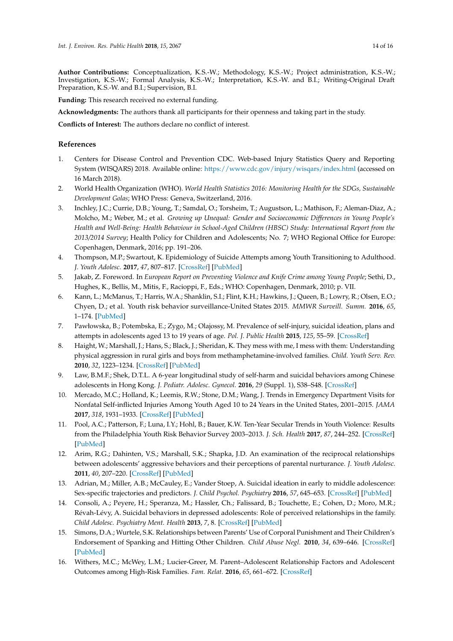**Author Contributions:** Conceptualization, K.S.-W.; Methodology, K.S.-W.; Project administration, K.S.-W.; Investigation, K.S.-W.; Formal Analysis, K.S.-W.; Interpretation, K.S.-W. and B.I.; Writing-Original Draft Preparation, K.S.-W. and B.I.; Supervision, B.I.

**Funding:** This research received no external funding.

**Acknowledgments:** The authors thank all participants for their openness and taking part in the study.

**Conflicts of Interest:** The authors declare no conflict of interest.

## **References**

- <span id="page-13-0"></span>1. Centers for Disease Control and Prevention CDC. Web-based Injury Statistics Query and Reporting System (WISQARS) 2018. Available online: <https://www.cdc.gov/injury/wisqars/index.html> (accessed on 16 March 2018).
- 2. World Health Organization (WHO). *World Health Statistics 2016: Monitoring Health for the SDGs, Sustainable Development Golas*; WHO Press: Geneva, Switzerland, 2016.
- <span id="page-13-1"></span>3. Inchley, J.C.; Currie, D.B.; Young, T.; Samdal, O.; Torsheim, T.; Augustson, L.; Mathison, F.; Aleman-Diaz, A.; Molcho, M.; Weber, M.; et al. *Growing up Unequal: Gender and Socioeconomic Differences in Young People's Health and Well-Being: Health Behaviour in School-Aged Children (HBSC) Study: International Report from the 2013/2014 Survey*; Health Policy for Children and Adolescents; No. 7; WHO Regional Office for Europe: Copenhagen, Denmark, 2016; pp. 191–206.
- <span id="page-13-2"></span>4. Thompson, M.P.; Swartout, K. Epidemiology of Suicide Attempts among Youth Transitioning to Adulthood. *J. Youth Adolesc.* **2017**, *47*, 807–817. [\[CrossRef\]](http://dx.doi.org/10.1007/s10964-017-0674-8) [\[PubMed\]](http://www.ncbi.nlm.nih.gov/pubmed/28421391)
- <span id="page-13-3"></span>5. Jakab, Z. Foreword. In *European Report on Preventing Violence and Knife Crime among Young People*; Sethi, D., Hughes, K., Bellis, M., Mitis, F., Racioppi, F., Eds.; WHO: Copenhagen, Denmark, 2010; p. VII.
- <span id="page-13-4"></span>6. Kann, L.; McManus, T.; Harris, W.A.; Shanklin, S.I.; Flint, K.H.; Hawkins, J.; Queen, B.; Lowry, R.; Olsen, E.O.; Chyen, D.; et al. Youth risk behavior surveillance-United States 2015. *MMWR Surveill. Summ.* **2016**, *65*, 1–174. [\[PubMed\]](http://www.ncbi.nlm.nih.gov/pubmed/27513843)
- <span id="page-13-5"></span>7. Pawłowska, B.; Potembska, E.; Zygo, M.; Olajossy, M. Prevalence of self-injury, suicidal ideation, plans and attempts in adolescents aged 13 to 19 years of age. *Pol. J. Public Health* **2015**, *125*, 55–59. [\[CrossRef\]](http://dx.doi.org/10.1515/pjph-2015-0025)
- <span id="page-13-6"></span>8. Haight, W.; Marshall, J.; Hans, S.; Black, J.; Sheridan, K. They mess with me, I mess with them: Understanding physical aggression in rural girls and boys from methamphetamine-involved families. *Child. Youth Serv. Rev.* **2010**, *32*, 1223–1234. [\[CrossRef\]](http://dx.doi.org/10.1016/j.childyouth.2010.04.010) [\[PubMed\]](http://www.ncbi.nlm.nih.gov/pubmed/20729981)
- <span id="page-13-8"></span>9. Law, B.M.F.; Shek, D.T.L. A 6-year longitudinal study of self-harm and suicidal behaviors among Chinese adolescents in Hong Kong. *J. Pediatr. Adolesc. Gynecol.* **2016**, *29* (Suppl. 1), S38–S48. [\[CrossRef\]](http://dx.doi.org/10.1016/j.jpag.2015.10.007)
- <span id="page-13-7"></span>10. Mercado, M.C.; Holland, K.; Leemis, R.W.; Stone, D.M.; Wang, J. Trends in Emergency Department Visits for Nonfatal Self-inflicted Injuries Among Youth Aged 10 to 24 Years in the United States, 2001–2015. *JAMA* **2017**, *318*, 1931–1933. [\[CrossRef\]](http://dx.doi.org/10.1001/jama.2017.13317) [\[PubMed\]](http://www.ncbi.nlm.nih.gov/pubmed/29164246)
- <span id="page-13-9"></span>11. Pool, A.C.; Patterson, F.; Luna, I.Y.; Hohl, B.; Bauer, K.W. Ten-Year Secular Trends in Youth Violence: Results from the Philadelphia Youth Risk Behavior Survey 2003–2013. *J. Sch. Health* **2017**, *87*, 244–252. [\[CrossRef\]](http://dx.doi.org/10.1111/josh.12491) [\[PubMed\]](http://www.ncbi.nlm.nih.gov/pubmed/28260239)
- <span id="page-13-10"></span>12. Arim, R.G.; Dahinten, V.S.; Marshall, S.K.; Shapka, J.D. An examination of the reciprocal relationships between adolescents' aggressive behaviors and their perceptions of parental nurturance. *J. Youth Adolesc.* **2011**, *40*, 207–220. [\[CrossRef\]](http://dx.doi.org/10.1007/s10964-009-9493-x) [\[PubMed\]](http://www.ncbi.nlm.nih.gov/pubmed/20013350)
- 13. Adrian, M.; Miller, A.B.; McCauley, E.; Vander Stoep, A. Suicidal ideation in early to middle adolescence: Sex-specific trajectories and predictors. *J. Child Psychol. Psychiatry* **2016**, *57*, 645–653. [\[CrossRef\]](http://dx.doi.org/10.1111/jcpp.12484) [\[PubMed\]](http://www.ncbi.nlm.nih.gov/pubmed/26610726)
- 14. Consoli, A.; Peyere, H.; Speranza, M.; Hassler, Ch.; Falissard, B.; Touchette, E.; Cohen, D.; Moro, M.R.; Révah-Lévy, A. Suicidal behaviors in depressed adolescents: Role of perceived relationships in the family. *Child Adolesc. Psychiatry Ment. Health* **2013**, *7*, 8. [\[CrossRef\]](http://dx.doi.org/10.1186/1753-2000-7-8) [\[PubMed\]](http://www.ncbi.nlm.nih.gov/pubmed/23497551)
- 15. Simons, D.A.; Wurtele, S.K. Relationships between Parents' Use of Corporal Punishment and Their Children's Endorsement of Spanking and Hitting Other Children. *Child Abuse Negl.* **2010**, *34*, 639–646. [\[CrossRef\]](http://dx.doi.org/10.1016/j.chiabu.2010.01.012) [\[PubMed\]](http://www.ncbi.nlm.nih.gov/pubmed/20638720)
- <span id="page-13-11"></span>16. Withers, M.C.; McWey, L.M.; Lucier-Greer, M. Parent–Adolescent Relationship Factors and Adolescent Outcomes among High-Risk Families. *Fam. Relat.* **2016**, *65*, 661–672. [\[CrossRef\]](http://dx.doi.org/10.1111/fare.12220)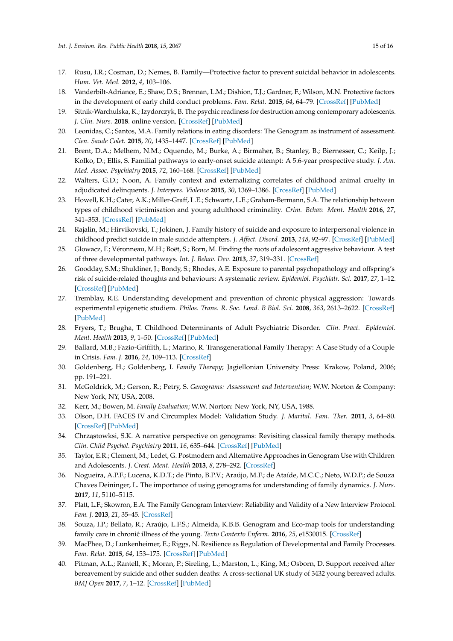- <span id="page-14-0"></span>17. Rusu, I.R.; Cosman, D.; Nemes, B. Family—Protective factor to prevent suicidal behavior in adolescents. *Hum. Vet. Med.* **2012**, *4*, 103–106.
- <span id="page-14-1"></span>18. Vanderbilt-Adriance, E.; Shaw, D.S.; Brennan, L.M.; Dishion, T.J.; Gardner, F.; Wilson, M.N. Protective factors in the development of early child conduct problems. *Fam. Relat.* **2015**, *64*, 64–79. [\[CrossRef\]](http://dx.doi.org/10.1111/fare.12105) [\[PubMed\]](http://www.ncbi.nlm.nih.gov/pubmed/25774071)
- <span id="page-14-2"></span>19. Sitnik-Warchulska, K.; Izydorczyk, B. The psychic readiness for destruction among contemporary adolescents. *J. Clin. Nurs.* **2018**. online version. [\[CrossRef\]](http://dx.doi.org/10.1111/jocn.14623) [\[PubMed\]](http://www.ncbi.nlm.nih.gov/pubmed/29987854)
- <span id="page-14-3"></span>20. Leonidas, C.; Santos, M.A. Family relations in eating disorders: The Genogram as instrument of assessment. *Cien. Saude Colet.* **2015**, *20*, 1435–1447. [\[CrossRef\]](http://dx.doi.org/10.1590/1413-81232015205.07802014) [\[PubMed\]](http://www.ncbi.nlm.nih.gov/pubmed/26017946)
- <span id="page-14-4"></span>21. Brent, D.A.; Melhem, N.M.; Oquendo, M.; Burke, A.; Birmaher, B.; Stanley, B.; Biernesser, C.; Keilp, J.; Kolko, D.; Ellis, S. Familial pathways to early-onset suicide attempt: A 5.6-year prospective study. *J. Am. Med. Assoc. Psychiatry* **2015**, *72*, 160–168. [\[CrossRef\]](http://dx.doi.org/10.1001/jamapsychiatry.2014.2141) [\[PubMed\]](http://www.ncbi.nlm.nih.gov/pubmed/25548996)
- <span id="page-14-5"></span>22. Walters, G.D.; Noon, A. Family context and externalizing correlates of childhood animal cruelty in adjudicated delinquents. *J. Interpers. Violence* **2015**, *30*, 1369–1386. [\[CrossRef\]](http://dx.doi.org/10.1177/0886260514540328) [\[PubMed\]](http://www.ncbi.nlm.nih.gov/pubmed/24986192)
- <span id="page-14-6"></span>23. Howell, K.H.; Cater, A.K.; Miller-Graff, L.E.; Schwartz, L.E.; Graham-Bermann, S.A. The relationship between types of childhood victimisation and young adulthood criminality. *Crim. Behav. Ment. Health* **2016**, *27*, 341–353. [\[CrossRef\]](http://dx.doi.org/10.1002/cbm.2002) [\[PubMed\]](http://www.ncbi.nlm.nih.gov/pubmed/27105014)
- <span id="page-14-7"></span>24. Rajalin, M.; Hirvikovski, T.; Jokinen, J. Family history of suicide and exposure to interpersonal violence in childhood predict suicide in male suicide attempters. *J. Affect. Disord.* **2013**, *148*, 92–97. [\[CrossRef\]](http://dx.doi.org/10.1016/j.jad.2012.11.055) [\[PubMed\]](http://www.ncbi.nlm.nih.gov/pubmed/23273935)
- <span id="page-14-8"></span>25. Glowacz, F.; Véronneau, M.H.; Boët, S.; Born, M. Finding the roots of adolescent aggressive behaviour. A test of three developmental pathways. *Int. J. Behav. Dev.* **2013**, *37*, 319–331. [\[CrossRef\]](http://dx.doi.org/10.1177/0165025413486418)
- <span id="page-14-23"></span>26. Goodday, S.M.; Shuldiner, J.; Bondy, S.; Rhodes, A.E. Exposure to parental psychopathology and offspring's risk of suicide-related thoughts and behaviours: A systematic review. *Epidemiol. Psychiatr. Sci.* **2017**, *27*, 1–12. [\[CrossRef\]](http://dx.doi.org/10.1017/S2045796017000397) [\[PubMed\]](http://www.ncbi.nlm.nih.gov/pubmed/28748774)
- <span id="page-14-9"></span>27. Tremblay, R.E. Understanding development and prevention of chronic physical aggression: Towards experimental epigenetic studiem. *Philos. Trans. R. Soc. Lond. B Biol. Sci.* **2008**, *363*, 2613–2622. [\[CrossRef\]](http://dx.doi.org/10.1098/rstb.2008.0030) [\[PubMed\]](http://www.ncbi.nlm.nih.gov/pubmed/18467277)
- <span id="page-14-10"></span>28. Fryers, T.; Brugha, T. Childhood Determinants of Adult Psychiatric Disorder. *Clin. Pract. Epidemiol. Ment. Health* **2013**, *9*, 1–50. [\[CrossRef\]](http://dx.doi.org/10.2174/1745017901309010001) [\[PubMed\]](http://www.ncbi.nlm.nih.gov/pubmed/23539489)
- <span id="page-14-11"></span>29. Ballard, M.B.; Fazio-Griffith, L.; Marino, R. Transgenerational Family Therapy: A Case Study of a Couple in Crisis. *Fam. J.* **2016**, *24*, 109–113. [\[CrossRef\]](http://dx.doi.org/10.1177/1066480716628564)
- <span id="page-14-12"></span>30. Goldenberg, H.; Goldenberg, I. *Family Therapy*; Jagiellonian University Press: Krakow, Poland, 2006; pp. 191–221.
- <span id="page-14-13"></span>31. McGoldrick, M.; Gerson, R.; Petry, S. *Genograms: Assessment and Intervention*; W.W. Norton & Company: New York, NY, USA, 2008.
- <span id="page-14-14"></span>32. Kerr, M.; Bowen, M. *Family Evaluation*; W.W. Norton: New York, NY, USA, 1988.
- <span id="page-14-15"></span>33. Olson, D.H. FACES IV and Circumplex Model: Validation Study. *J. Marital. Fam. Ther.* **2011**, *3*, 64–80. [\[CrossRef\]](http://dx.doi.org/10.1111/j.1752-0606.2009.00175.x) [\[PubMed\]](http://www.ncbi.nlm.nih.gov/pubmed/21198689)
- <span id="page-14-16"></span>34. Chrząstowksi, S.K. A narrative perspective on genograms: Revisiting classical family therapy methods. *Clin. Child Psychol. Psychiatry* **2011**, *16*, 635–644. [\[CrossRef\]](http://dx.doi.org/10.1177/1359104511400966) [\[PubMed\]](http://www.ncbi.nlm.nih.gov/pubmed/21613367)
- <span id="page-14-17"></span>35. Taylor, E.R.; Clement, M.; Ledet, G. Postmodern and Alternative Approaches in Genogram Use with Children and Adolescents. *J. Creat. Ment. Health* **2013**, *8*, 278–292. [\[CrossRef\]](http://dx.doi.org/10.1080/15401383.2013.821928)
- <span id="page-14-18"></span>36. Nogueira, A.P.F.; Lucena, K.D.T.; de Pinto, B.P.V.; Araújo, M.F.; de Ataíde, M.C.C.; Neto, W.D.P.; de Souza Chaves Deininger, L. The importance of using genograms for understanding of family dynamics. *J. Nurs.* **2017**, *11*, 5110–5115.
- <span id="page-14-19"></span>37. Platt, L.F.; Skowron, E.A. The Family Genogram Interview: Reliability and Validity of a New Interview Protocol. *Fam. J.* **2013**, *21*, 35–45. [\[CrossRef\]](http://dx.doi.org/10.1177/1066480712456817)
- <span id="page-14-20"></span>38. Souza, I.P.; Bellato, R.; Araújo, L.F.S.; Almeida, K.B.B. Genogram and Eco-map tools for understanding family care in chronić illness of the young. *Texto Contexto Enferm.* **2016**, *25*, e1530015. [\[CrossRef\]](http://dx.doi.org/10.1590/0104-07072016001530015)
- <span id="page-14-21"></span>39. MacPhee, D.; Lunkenheimer, E.; Riggs, N. Resilience as Regulation of Developmental and Family Processes. *Fam. Relat.* **2015**, *64*, 153–175. [\[CrossRef\]](http://dx.doi.org/10.1111/fare.12100) [\[PubMed\]](http://www.ncbi.nlm.nih.gov/pubmed/26568647)
- <span id="page-14-22"></span>40. Pitman, A.L.; Rantell, K.; Moran, P.; Sireling, L.; Marston, L.; King, M.; Osborn, D. Support received after bereavement by suicide and other sudden deaths: A cross-sectional UK study of 3432 young bereaved adults. *BMJ Open* **2017**, *7*, 1–12. [\[CrossRef\]](http://dx.doi.org/10.1136/bmjopen-2016-014487) [\[PubMed\]](http://www.ncbi.nlm.nih.gov/pubmed/28554915)